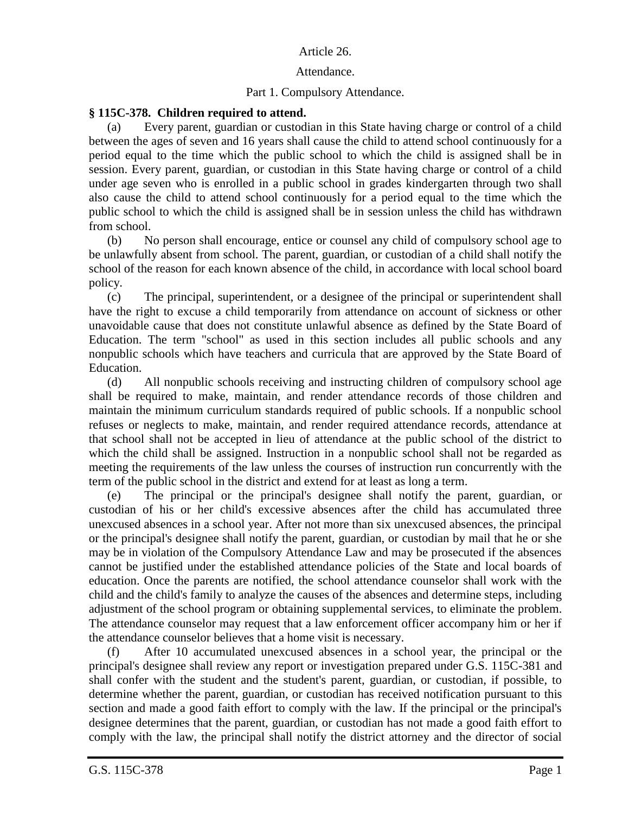## Article 26.

## Attendance.

## Part 1. Compulsory Attendance.

## **§ 115C-378. Children required to attend.**

Every parent, guardian or custodian in this State having charge or control of a child between the ages of seven and 16 years shall cause the child to attend school continuously for a period equal to the time which the public school to which the child is assigned shall be in session. Every parent, guardian, or custodian in this State having charge or control of a child under age seven who is enrolled in a public school in grades kindergarten through two shall also cause the child to attend school continuously for a period equal to the time which the public school to which the child is assigned shall be in session unless the child has withdrawn from school.

(b) No person shall encourage, entice or counsel any child of compulsory school age to be unlawfully absent from school. The parent, guardian, or custodian of a child shall notify the school of the reason for each known absence of the child, in accordance with local school board policy.

(c) The principal, superintendent, or a designee of the principal or superintendent shall have the right to excuse a child temporarily from attendance on account of sickness or other unavoidable cause that does not constitute unlawful absence as defined by the State Board of Education. The term "school" as used in this section includes all public schools and any nonpublic schools which have teachers and curricula that are approved by the State Board of Education.

(d) All nonpublic schools receiving and instructing children of compulsory school age shall be required to make, maintain, and render attendance records of those children and maintain the minimum curriculum standards required of public schools. If a nonpublic school refuses or neglects to make, maintain, and render required attendance records, attendance at that school shall not be accepted in lieu of attendance at the public school of the district to which the child shall be assigned. Instruction in a nonpublic school shall not be regarded as meeting the requirements of the law unless the courses of instruction run concurrently with the term of the public school in the district and extend for at least as long a term.

(e) The principal or the principal's designee shall notify the parent, guardian, or custodian of his or her child's excessive absences after the child has accumulated three unexcused absences in a school year. After not more than six unexcused absences, the principal or the principal's designee shall notify the parent, guardian, or custodian by mail that he or she may be in violation of the Compulsory Attendance Law and may be prosecuted if the absences cannot be justified under the established attendance policies of the State and local boards of education. Once the parents are notified, the school attendance counselor shall work with the child and the child's family to analyze the causes of the absences and determine steps, including adjustment of the school program or obtaining supplemental services, to eliminate the problem. The attendance counselor may request that a law enforcement officer accompany him or her if the attendance counselor believes that a home visit is necessary.

(f) After 10 accumulated unexcused absences in a school year, the principal or the principal's designee shall review any report or investigation prepared under G.S. 115C-381 and shall confer with the student and the student's parent, guardian, or custodian, if possible, to determine whether the parent, guardian, or custodian has received notification pursuant to this section and made a good faith effort to comply with the law. If the principal or the principal's designee determines that the parent, guardian, or custodian has not made a good faith effort to comply with the law, the principal shall notify the district attorney and the director of social